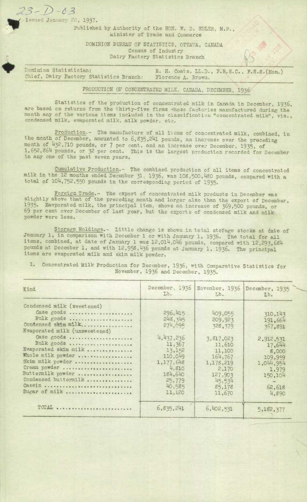Issued January *22,* 1937.

 $23 - D - 03$ 

Published by Authority of the HON. W. D. EULER, M.P., Minister of Trade and Commerce

DOMINION BUREAU OF STATISTICS, OTTAVA, CANADA Census of Industry Dairy Factory Statistics Branch

| Dominion Statistician:                  | R. H. Coats, LL.D., F.R.S.C., F.S.S. (Hon.) |
|-----------------------------------------|---------------------------------------------|
| Chief, Dairy Factory Statistics Branch: | Florence A. Brown.                          |
|                                         |                                             |

PRODUCTION OF CONCENTRATED MILK, CANADA, DECEMBER, 1936

Statistics of the production of concentrated milk in Canada in December, *1936,* are based on returns from the thirty-five firms whose facto:ries manufactured during the month any of the various items included in the classification "concentrated milk", viz., condensed milk, evaporated milk, milk powder, etc.

Production.- The manufacture of all items of concentrated milk, combined, in the month of December, amounted to  $6,835,241$  pounds, an increase over the preceding month of  $432,710$  pounds, or 7 per cent, and an increase over December, 1935, of month of 432,710 pounds, or 7 per cent, and an increase over December, 1935, of<br>1,652,864 pounds, or 32 per cent. This is the largest production recorded for December in any one of the past seven years.

Cumulative Production.- The combined, production of all items of concentrated milk in the 12 months ended December 31. 1936, was 108,500,480 pounds, conpared with a total of 104,752,550 pounds in the corresponding period of 1935.

Foreign Trade.- The export of concentrated milk products in December was slightly above that of the preceding month and larger also than the export of December, <sup>1</sup> 935. Eavporated milk, the principal item, shows an increase of 369,500 pounds, or 69 per cent over December of last year, but the exports of condensed milk and milk powder were less.

Storage Holdings.- Little change is shown in total stofage stocks at date of January 1, in comparison with December 1 or with January 1, 1936. The total for all items, combined, at date of January 1 was 12,014,046 pounds, compared with 12,293,684 pounds at December 1, and with 12,958,436 pounds at January 1, 1936. The principal items are evaporated milk and skim milk powder.

1. Concentrated Milk Production for December, 1936, with Comparative Statistics for November, 1936 and December, 1935.

| Kind                                                                                                                                                                                                                                                                                                 | December, 1936<br>$\mathbb{L} \mathbf{b}_c$                                                                                                    | November, 1936<br>Lb.                                                                                                                       | December, 1935<br>Lb.                                                                                                         |
|------------------------------------------------------------------------------------------------------------------------------------------------------------------------------------------------------------------------------------------------------------------------------------------------------|------------------------------------------------------------------------------------------------------------------------------------------------|---------------------------------------------------------------------------------------------------------------------------------------------|-------------------------------------------------------------------------------------------------------------------------------|
| Condensed milk (sweet ened)<br>Case goods<br>Bulk goods<br>Condensed skim milk<br>Evaporated milk (unsweetened)<br>Case goods<br>Bulk goods<br>Evaporated skim milk<br>Whole milk powder<br>Skim milk powder<br>Cream powder<br>Buttermilk powder<br>Condensed buttermilk<br>Casein<br>Sugar of milk | 296.415<br>248, 345<br>274,095<br>4, 437, 236<br>11,367<br>13,152<br>110,049<br>1, 1.77, 648<br>4.810<br>184,640<br>25,779<br>40,585<br>11,120 | 409,055<br>209,923<br>328, 379<br>3, 817, 023<br>11,610<br>11,100<br>164,767<br>1,178,219<br>2,170<br>127,903<br>45,534<br>85,178<br>11,670 | 310, 143<br>191,664<br>367,891<br>2,912,531<br>17.644<br>8,000<br>109,959<br>1,044,954<br>1,979<br>150,104<br>62,618<br>4,890 |
| TOTAL                                                                                                                                                                                                                                                                                                | 6,835,241                                                                                                                                      | 6,402,531                                                                                                                                   | 5,182,377                                                                                                                     |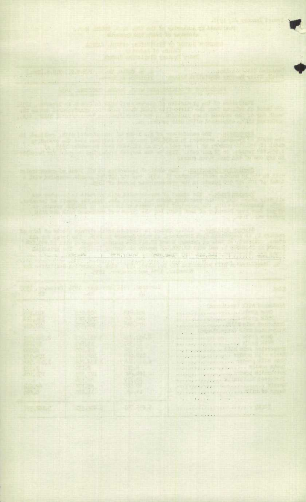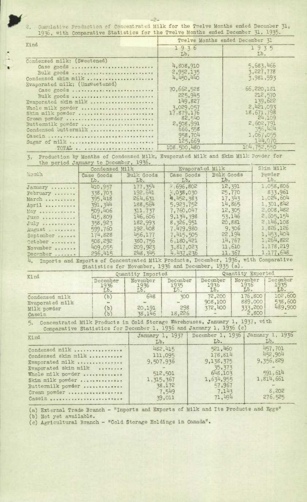$-2-$ 

 $\geq$ . Gumulative Production of Concentrated Milk for the Twelve Months ended December 31, 1936, with Comparative Statistics for the Twelve Months ended December 31, 1935.

| Twelve Months ended December 31                                                                                     |                                                                                                                       |  |  |
|---------------------------------------------------------------------------------------------------------------------|-----------------------------------------------------------------------------------------------------------------------|--|--|
| 1936                                                                                                                | 1935                                                                                                                  |  |  |
| Lb.                                                                                                                 | Lb.                                                                                                                   |  |  |
| 4,808,910<br>2,952,135<br>4, 450, 440                                                                               | 5,683,466<br>3, 227, 778<br>3,981,593                                                                                 |  |  |
| 70,662,528<br>225,945<br>149,827<br>3,029,057<br>17,879,176<br>82.540<br>2,508,991<br>666,558<br>958,704<br>125,669 | 66,220,131<br>212,570<br>139.622<br>2,421,093<br>18,671,798<br>24.109<br>2,602,791<br>356,424<br>1.067,055<br>144.070 |  |  |
| 108.500.480                                                                                                         | 104.752.550                                                                                                           |  |  |
|                                                                                                                     |                                                                                                                       |  |  |

3. Production by Months of Condensed Milk, Evaporated Milk and Skim Milk Powder for the period January to December, 1936.  $\sim$ 

|                 | Condensed Milk |            | Evaporated Milk |            | Skim Milk   |
|-----------------|----------------|------------|-----------------|------------|-------------|
| Month           | Case Goods     | Bulk Goods | Case Goods      | Bulk Goods | Powder      |
|                 | Lb.            | Lb.        | Lb.             | Lb.        | Lb.         |
| Jammary         | 410,957        | 177,354    | $-696,802$      | 12,391     | 1,058,806   |
| February        | 338,703        | 192.641    | 4,038,030       | 25,770     | 833,961     |
| March           | 395,418        | 264,631    | 4, 452, 383     | 17,343     | 1,024,604   |
| April           | 391, 344       | 188,564    | 5,923,752       | 14,865     | 1,301,842   |
| May observe     | 509,406        | 311.737    | 7,760,047       | 12,305     | 2,008,482   |
| June <i></i>    | 415,809        | 146,606    | 9,134,398       | 53,146     | 2,605,154   |
| July occasions. | 358,923        | 182,993    | 8, 326, 951     | 20,881     | 2,146,108   |
| August          | 599,760        | 192.408    | 7,479,980       | 9.306      | 1,826,126   |
| September       | 174,828        | 456,177    | 7,415,505       | 22,194     | 1, 453, 404 |
| October         | 508,292        | 380,756    | 6,180,421       | 14,767     | 1,264,822   |
| November        | 409,055        | 209,923    | 3,817,023       | 11,610     | 1, 178, 219 |
| December        | 296,415        | 248, 345   | 4.437.236       | 11,367     | 1.177,648   |

4. Imports and Exports of Concentrated Milk Products, December, 1936, with Comparative Statistics for November, 1936 and December, 1935 (a).

| Kind                                                       | Quantity Imported                          |                         |                      | Quantity Exported            |                                        |                               |
|------------------------------------------------------------|--------------------------------------------|-------------------------|----------------------|------------------------------|----------------------------------------|-------------------------------|
|                                                            | December<br>1936<br>LD.                    | November<br>1936        | December<br>1935     | December<br>1936             | November<br>1936                       | December<br>1935              |
| Condensed milk<br>Evaporated milk<br>Milk powder<br>Casein | b<br>dollar<br>$\mathbf{b}$<br>$\mathbf b$ | 648<br>20,191<br>38,146 | 300<br>298<br>18,226 | 72,200<br>908,100<br>372,400 | 176,800<br>889,000<br>333,200<br>2,800 | 102,600<br>538,600<br>489,900 |

5. Concentrated Milk Products in Cold Storage Warehouses, January 1, 1937, with Comparative Statistics for December 1, 1936 and January 1, 1936 (c)

| Kind                                                                                                                                                                             | January 1, 1937                                                                               | December 1, 1936 January 1, 1936<br>Lb.                                                         | Lb.                                                                           |
|----------------------------------------------------------------------------------------------------------------------------------------------------------------------------------|-----------------------------------------------------------------------------------------------|-------------------------------------------------------------------------------------------------|-------------------------------------------------------------------------------|
| Condensed milk<br>Condensed skim milk<br>Evaporated milk<br>Evaporated skim milk<br>Whole milk porder<br>Skim milk powder<br>Buttermilk powder<br>Cream powder<br>Casein essesso | Lb.<br>482,415<br>111,095<br>9,507,936<br>512,501<br>1, 315, 367<br>38,172<br>7.549<br>39,011 | 521,460<br>178,814<br>9,138,375<br>35, 373<br>648,103<br>1,634,955<br>57,967<br>7,143<br>71,494 | 457,701<br>452.904<br>9, 356, 829<br>591.614<br>1,814,661<br>8,202<br>276.525 |

(a) External Trade Branch - "Imports and Exports of Milk and Its Products and Eggs"

(b) Not yet available.

(c) Agricultural Branch - "Cold Storage Holdings in Canada".